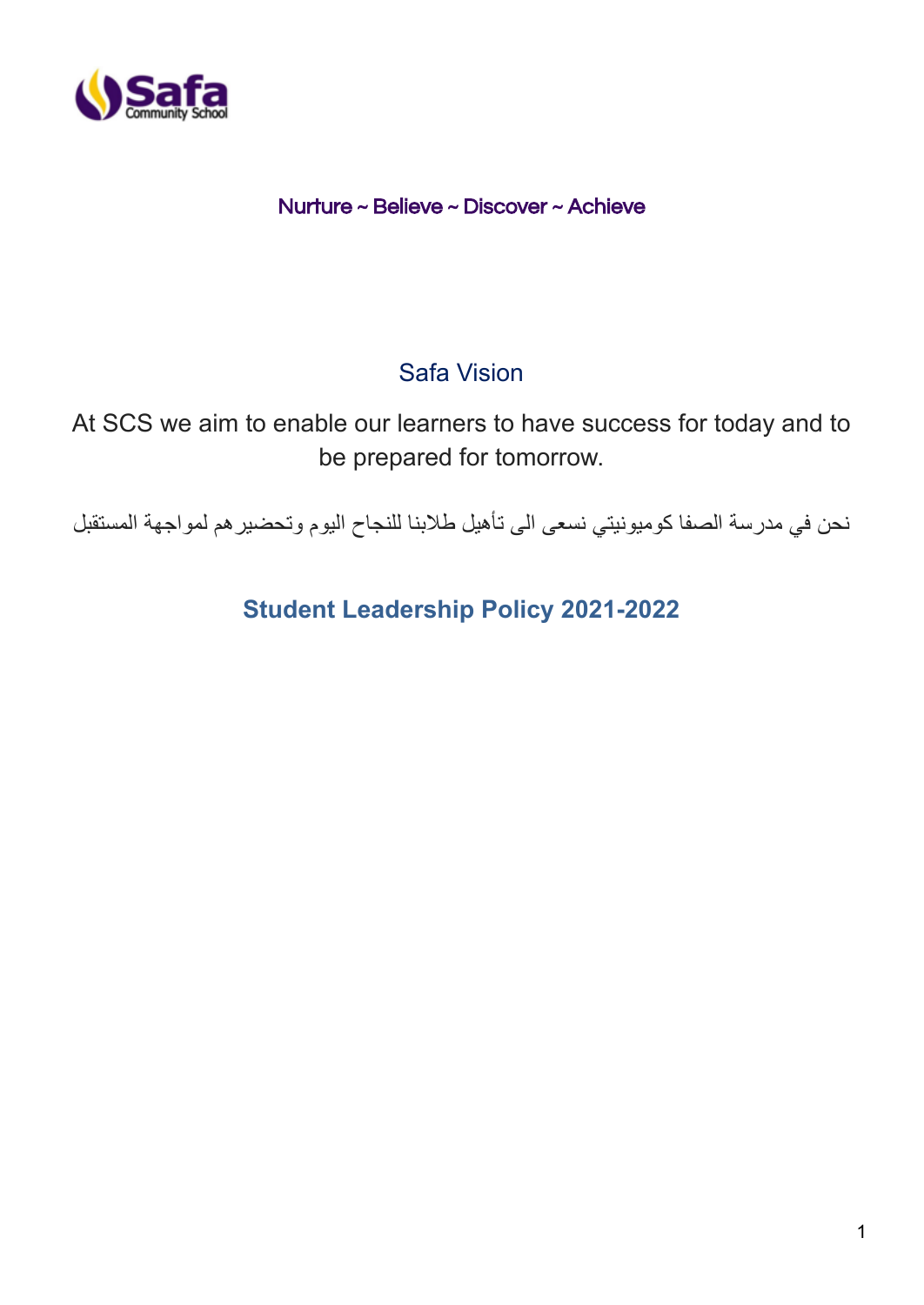

# Nurture ~ Believe ~ Discover ~ Achieve

# Safa Vision

At SCS we aim to enable our learners to have success for today and to be prepared for tomorrow.

نحن في مدرسة الصفا كوميونيتي نسعى الى تأهيل طالبنا للنجاح اليوم وتحضيرهم لمواجهة المستقبل

**Student Leadership Policy 2021-2022**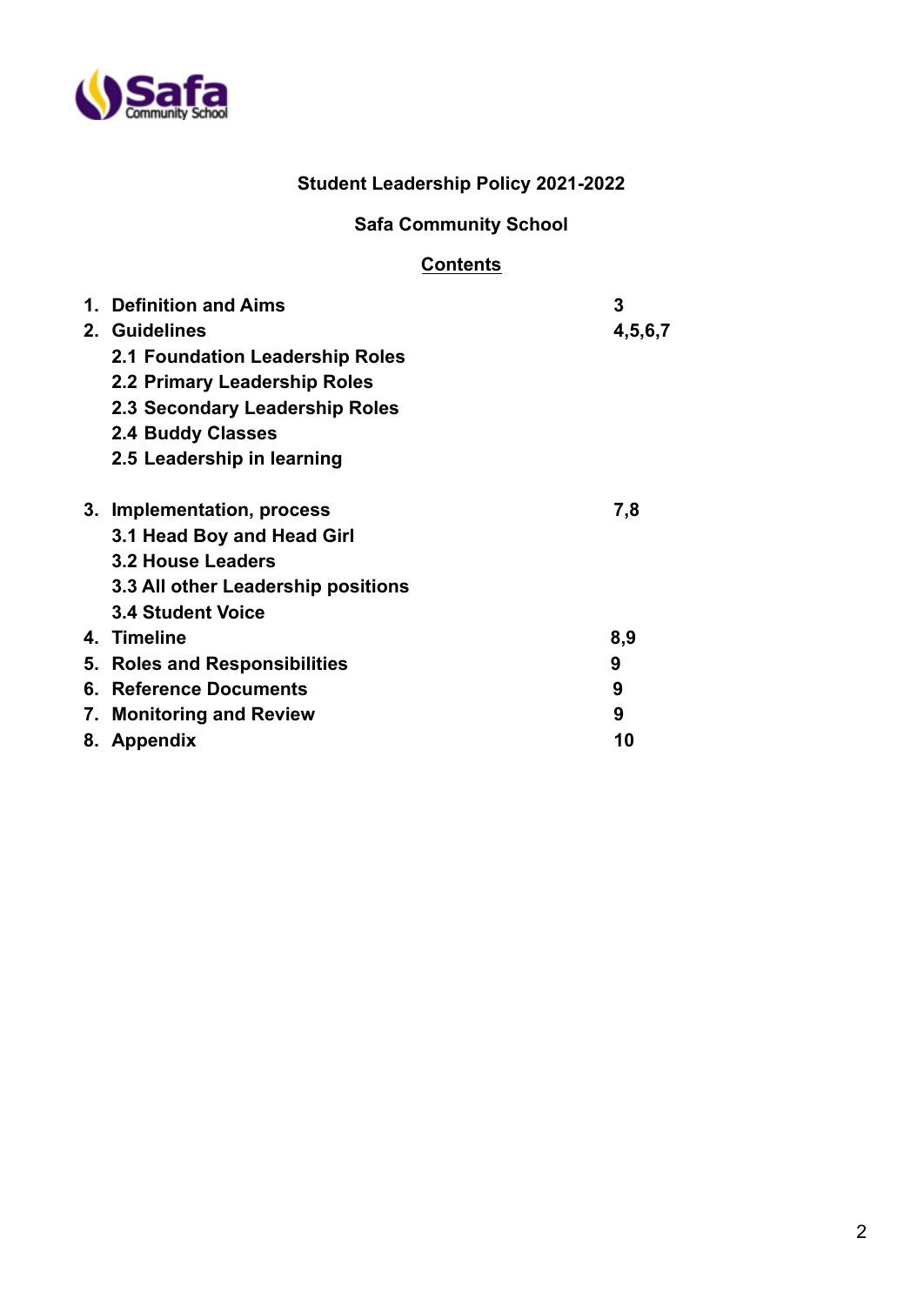

# **Student Leadership Policy 2021-2022**

# **Safa Community School**

# **Contents**

| 1. | <b>Definition and Aims</b><br>2. Guidelines<br>2.1 Foundation Leadership Roles<br>2.2 Primary Leadership Roles<br>2.3 Secondary Leadership Roles<br><b>2.4 Buddy Classes</b><br>2.5 Leadership in learning | 3<br>4,5,6,7 |
|----|------------------------------------------------------------------------------------------------------------------------------------------------------------------------------------------------------------|--------------|
|    | 3. Implementation, process<br>3.1 Head Boy and Head Girl<br>3.2 House Leaders<br>3.3 All other Leadership positions<br><b>3.4 Student Voice</b>                                                            | 7,8          |
|    | 4. Timeline                                                                                                                                                                                                | 8,9          |
| 5. | <b>Roles and Responsibilities</b>                                                                                                                                                                          | 9            |
| 6. | <b>Reference Documents</b>                                                                                                                                                                                 | 9            |
| 7. | <b>Monitoring and Review</b>                                                                                                                                                                               | 9            |
|    | 8. Appendix                                                                                                                                                                                                | 10           |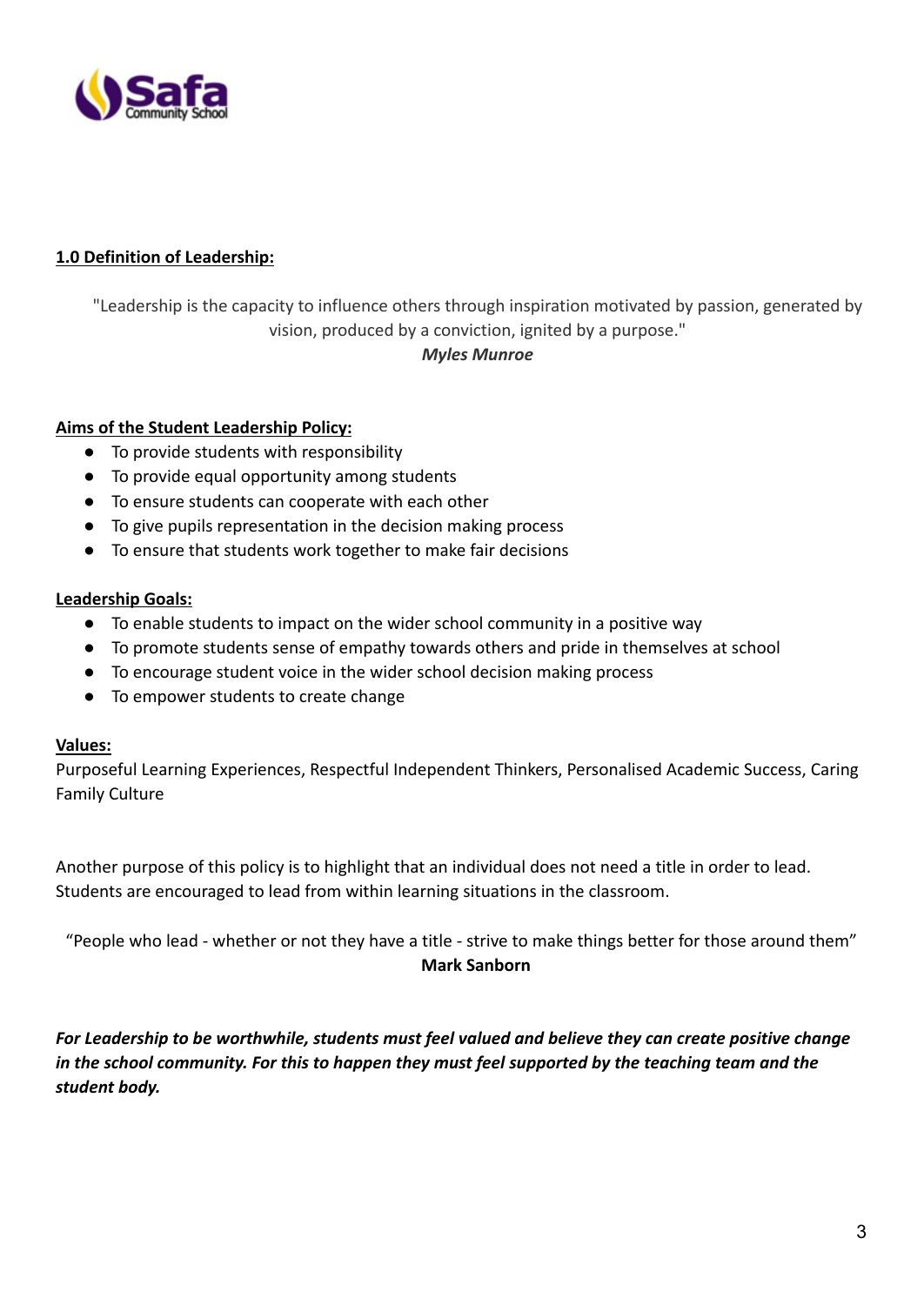

# **1.0 Definition of Leadership:**

"Leadership is the capacity to influence others through inspiration motivated by passion, generated by vision, produced by a conviction, ignited by a purpose."

#### *Myles Munroe*

#### **Aims of the Student Leadership Policy:**

- To provide students with responsibility
- To provide equal opportunity among students
- To ensure students can cooperate with each other
- To give pupils representation in the decision making process
- To ensure that students work together to make fair decisions

#### **Leadership Goals:**

- To enable students to impact on the wider school community in a positive way
- To promote students sense of empathy towards others and pride in themselves at school
- To encourage student voice in the wider school decision making process
- To empower students to create change

#### **Values:**

Purposeful Learning Experiences, Respectful Independent Thinkers, Personalised Academic Success, Caring Family Culture

Another purpose of this policy is to highlight that an individual does not need a title in order to lead. Students are encouraged to lead from within learning situations in the classroom.

"People who lead - whether or not they have a title - strive to make things better for those around them" **Mark Sanborn**

*For Leadership to be worthwhile, students must feel valued and believe they can create positive change in the school community. For this to happen they must feel supported by the teaching team and the student body.*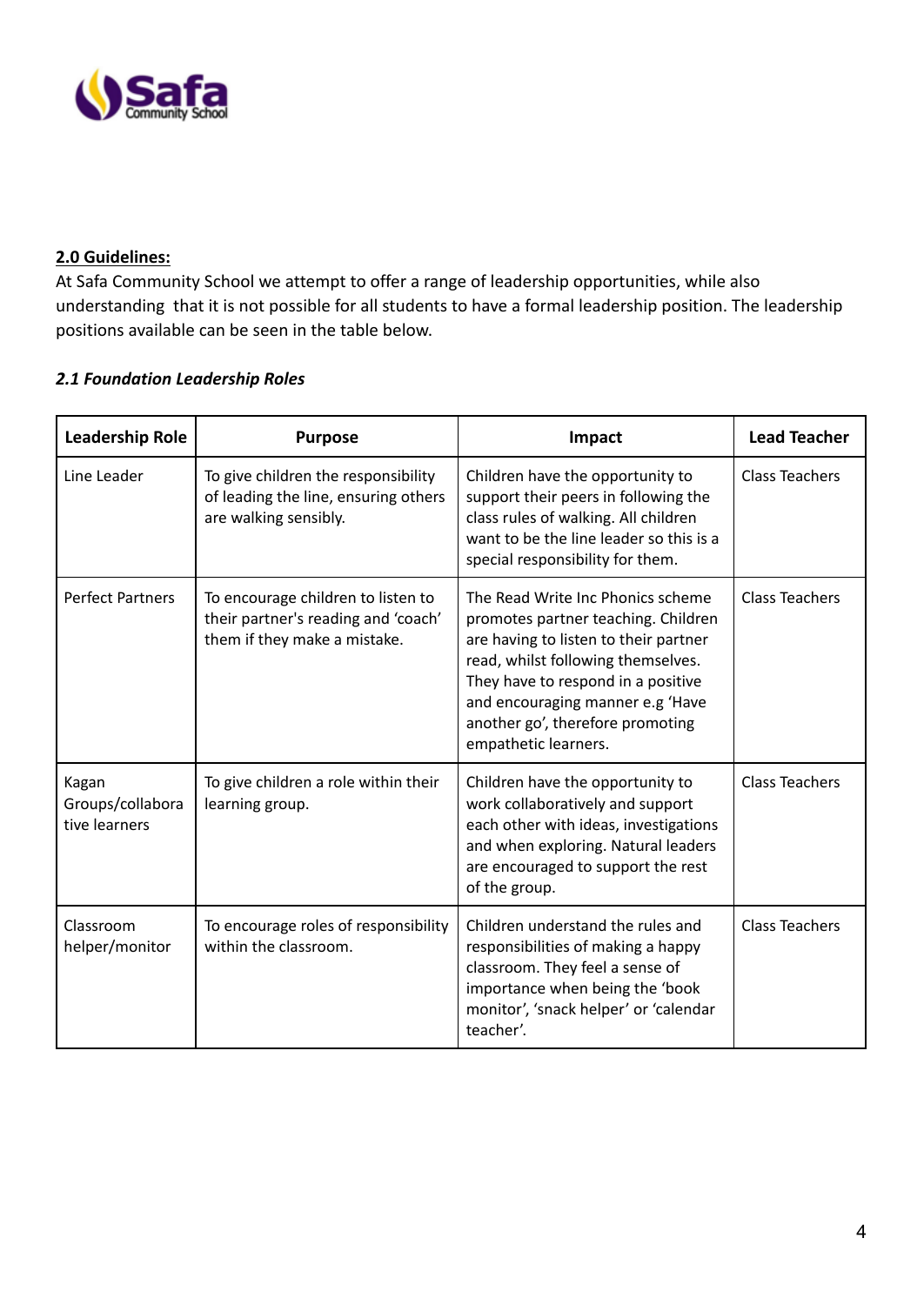

#### **2.0 Guidelines:**

At Safa Community School we attempt to offer a range of leadership opportunities, while also understanding that it is not possible for all students to have a formal leadership position. The leadership positions available can be seen in the table below.

## *2.1 Foundation Leadership Roles*

| <b>Leadership Role</b>                                                                                                               | <b>Purpose</b>                                                                                       | Impact                                                                                                                                                                                                                                                                                        | <b>Lead Teacher</b>   |
|--------------------------------------------------------------------------------------------------------------------------------------|------------------------------------------------------------------------------------------------------|-----------------------------------------------------------------------------------------------------------------------------------------------------------------------------------------------------------------------------------------------------------------------------------------------|-----------------------|
| Line Leader                                                                                                                          | To give children the responsibility<br>of leading the line, ensuring others<br>are walking sensibly. | Children have the opportunity to<br>support their peers in following the<br>class rules of walking. All children<br>want to be the line leader so this is a<br>special responsibility for them.                                                                                               | <b>Class Teachers</b> |
| <b>Perfect Partners</b><br>To encourage children to listen to<br>their partner's reading and 'coach'<br>them if they make a mistake. |                                                                                                      | The Read Write Inc Phonics scheme<br>promotes partner teaching. Children<br>are having to listen to their partner<br>read, whilst following themselves.<br>They have to respond in a positive<br>and encouraging manner e.g 'Have<br>another go', therefore promoting<br>empathetic learners. | <b>Class Teachers</b> |
| Kagan<br>Groups/collabora<br>tive learners                                                                                           | To give children a role within their<br>learning group.                                              | Children have the opportunity to<br>work collaboratively and support<br>each other with ideas, investigations<br>and when exploring. Natural leaders<br>are encouraged to support the rest<br>of the group.                                                                                   | <b>Class Teachers</b> |
| Classroom<br>helper/monitor                                                                                                          | To encourage roles of responsibility<br>within the classroom.                                        | Children understand the rules and<br>responsibilities of making a happy<br>classroom. They feel a sense of<br>importance when being the 'book<br>monitor', 'snack helper' or 'calendar<br>teacher'.                                                                                           | <b>Class Teachers</b> |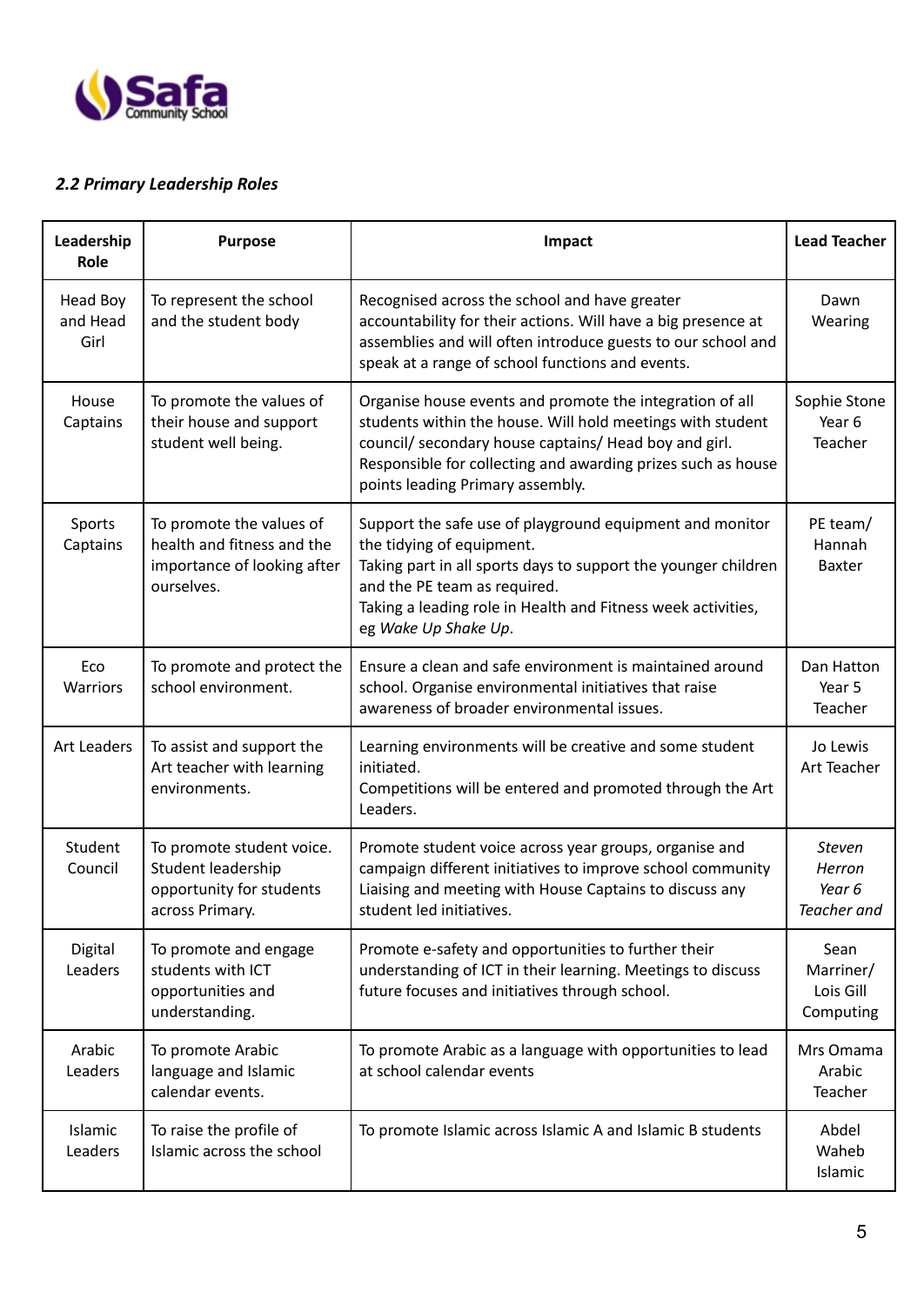

# *2.2 Primary Leadership Roles*

| Leadership<br>Role           | <b>Purpose</b>                                                                                      | Impact                                                                                                                                                                                                                                                                              | <b>Lead Teacher</b>                              |
|------------------------------|-----------------------------------------------------------------------------------------------------|-------------------------------------------------------------------------------------------------------------------------------------------------------------------------------------------------------------------------------------------------------------------------------------|--------------------------------------------------|
| Head Boy<br>and Head<br>Girl | To represent the school<br>and the student body                                                     | Recognised across the school and have greater<br>accountability for their actions. Will have a big presence at<br>assemblies and will often introduce guests to our school and<br>speak at a range of school functions and events.                                                  | Dawn<br>Wearing                                  |
| House<br>Captains            | To promote the values of<br>their house and support<br>student well being.                          | Organise house events and promote the integration of all<br>students within the house. Will hold meetings with student<br>council/ secondary house captains/ Head boy and girl.<br>Responsible for collecting and awarding prizes such as house<br>points leading Primary assembly. | Sophie Stone<br>Year 6<br>Teacher                |
| Sports<br>Captains           | To promote the values of<br>health and fitness and the<br>importance of looking after<br>ourselves. | Support the safe use of playground equipment and monitor<br>the tidying of equipment.<br>Taking part in all sports days to support the younger children<br>and the PE team as required.<br>Taking a leading role in Health and Fitness week activities,<br>eg Wake Up Shake Up.     | PE team/<br>Hannah<br><b>Baxter</b>              |
| Eco<br>Warriors              | To promote and protect the<br>school environment.                                                   | Ensure a clean and safe environment is maintained around<br>school. Organise environmental initiatives that raise<br>awareness of broader environmental issues.                                                                                                                     | Dan Hatton<br>Year 5<br>Teacher                  |
| <b>Art Leaders</b>           | To assist and support the<br>Art teacher with learning<br>environments.                             | Learning environments will be creative and some student<br>initiated.<br>Competitions will be entered and promoted through the Art<br>Leaders.                                                                                                                                      | Jo Lewis<br>Art Teacher                          |
| Student<br>Council           | To promote student voice.<br>Student leadership<br>opportunity for students<br>across Primary.      | Promote student voice across year groups, organise and<br>campaign different initiatives to improve school community<br>Liaising and meeting with House Captains to discuss any<br>student led initiatives.                                                                         | <b>Steven</b><br>Herron<br>Year 6<br>Teacher and |
| Digital<br>Leaders           | To promote and engage<br>students with ICT<br>opportunities and<br>understanding.                   | Promote e-safety and opportunities to further their<br>understanding of ICT in their learning. Meetings to discuss<br>future focuses and initiatives through school.                                                                                                                | Sean<br>Marriner/<br>Lois Gill<br>Computing      |
| Arabic<br>Leaders            | To promote Arabic<br>language and Islamic<br>calendar events.                                       | To promote Arabic as a language with opportunities to lead<br>at school calendar events                                                                                                                                                                                             | Mrs Omama<br>Arabic<br>Teacher                   |
| Islamic<br>Leaders           | To raise the profile of<br>Islamic across the school                                                | To promote Islamic across Islamic A and Islamic B students                                                                                                                                                                                                                          | Abdel<br>Waheb<br>Islamic                        |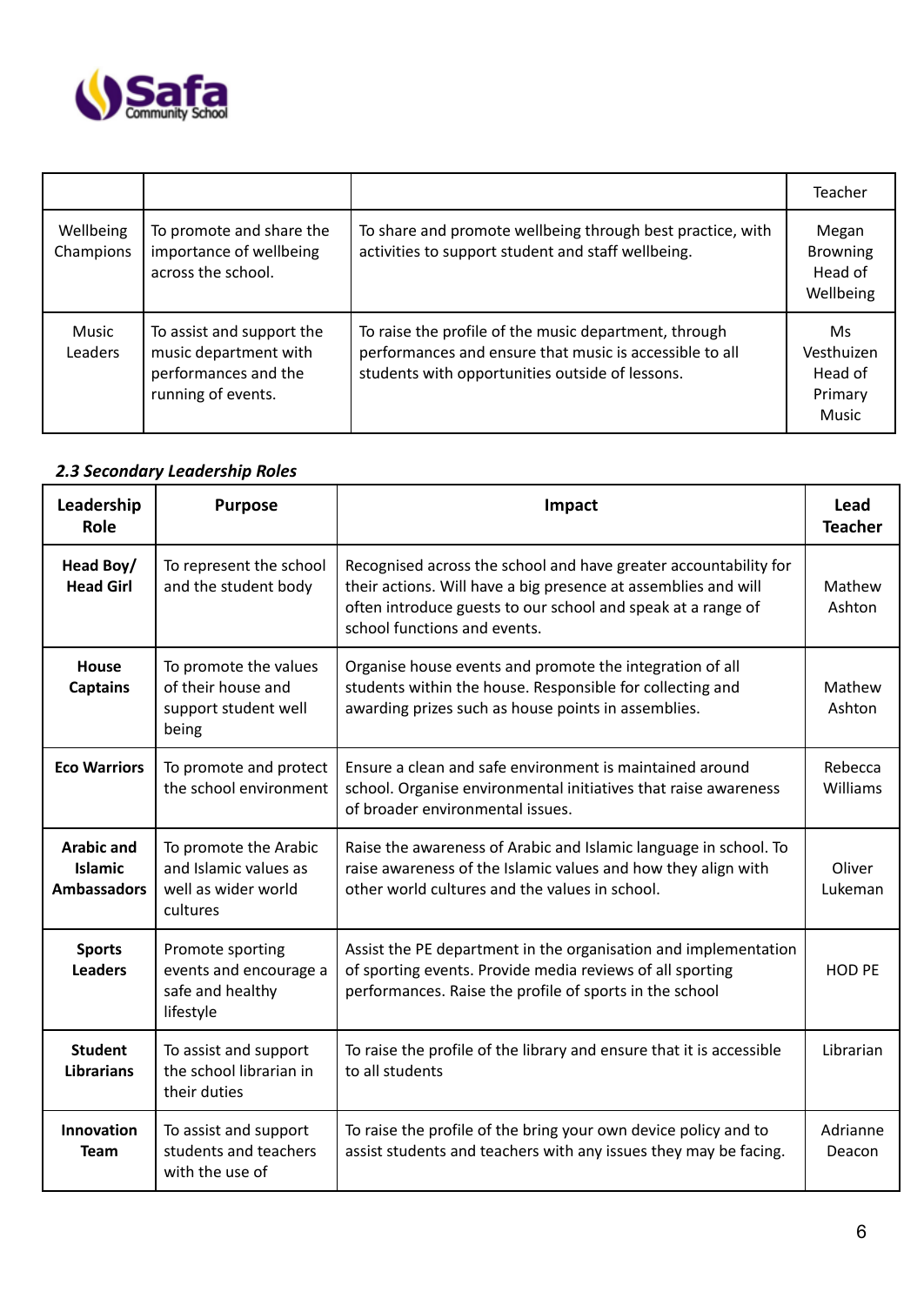

|                         |                                                                                                  |                                                                                                                                                                     | Teacher                                                 |
|-------------------------|--------------------------------------------------------------------------------------------------|---------------------------------------------------------------------------------------------------------------------------------------------------------------------|---------------------------------------------------------|
| Wellbeing<br>Champions  | To promote and share the<br>importance of wellbeing<br>across the school.                        | To share and promote wellbeing through best practice, with<br>activities to support student and staff wellbeing.                                                    | Megan<br><b>Browning</b><br>Head of<br>Wellbeing        |
| Music<br><b>Leaders</b> | To assist and support the<br>music department with<br>performances and the<br>running of events. | To raise the profile of the music department, through<br>performances and ensure that music is accessible to all<br>students with opportunities outside of lessons. | Ms.<br>Vesthuizen<br>Head of<br>Primary<br><b>Music</b> |

# *2.3 Secondary Leadership Roles*

| Leadership<br>Role                                        | <b>Purpose</b>                                                                    | Impact                                                                                                                                                                                                                             | Lead<br><b>Teacher</b>     |
|-----------------------------------------------------------|-----------------------------------------------------------------------------------|------------------------------------------------------------------------------------------------------------------------------------------------------------------------------------------------------------------------------------|----------------------------|
| Head Boy/<br><b>Head Girl</b>                             | To represent the school<br>and the student body                                   | Recognised across the school and have greater accountability for<br>their actions. Will have a big presence at assemblies and will<br>often introduce guests to our school and speak at a range of<br>school functions and events. | Mathew<br>Ashton           |
| House<br><b>Captains</b>                                  | To promote the values<br>of their house and<br>support student well<br>being      | Organise house events and promote the integration of all<br>students within the house. Responsible for collecting and<br>awarding prizes such as house points in assemblies.                                                       | Mathew<br>Ashton           |
| <b>Eco Warriors</b>                                       | To promote and protect<br>the school environment                                  | Ensure a clean and safe environment is maintained around<br>school. Organise environmental initiatives that raise awareness<br>of broader environmental issues.                                                                    | Rebecca<br><b>Williams</b> |
| <b>Arabic and</b><br><b>Islamic</b><br><b>Ambassadors</b> | To promote the Arabic<br>and Islamic values as<br>well as wider world<br>cultures | Raise the awareness of Arabic and Islamic language in school. To<br>raise awareness of the Islamic values and how they align with<br>other world cultures and the values in school.                                                | Oliver<br>Lukeman          |
| <b>Sports</b><br><b>Leaders</b>                           | Promote sporting<br>events and encourage a<br>safe and healthy<br>lifestyle       | Assist the PE department in the organisation and implementation<br>of sporting events. Provide media reviews of all sporting<br>performances. Raise the profile of sports in the school                                            | <b>HOD PE</b>              |
| <b>Student</b><br><b>Librarians</b>                       | To assist and support<br>the school librarian in<br>their duties                  | To raise the profile of the library and ensure that it is accessible<br>to all students                                                                                                                                            | Librarian                  |
| <b>Innovation</b><br><b>Team</b>                          | To assist and support<br>students and teachers<br>with the use of                 | To raise the profile of the bring your own device policy and to<br>assist students and teachers with any issues they may be facing.                                                                                                | Adrianne<br>Deacon         |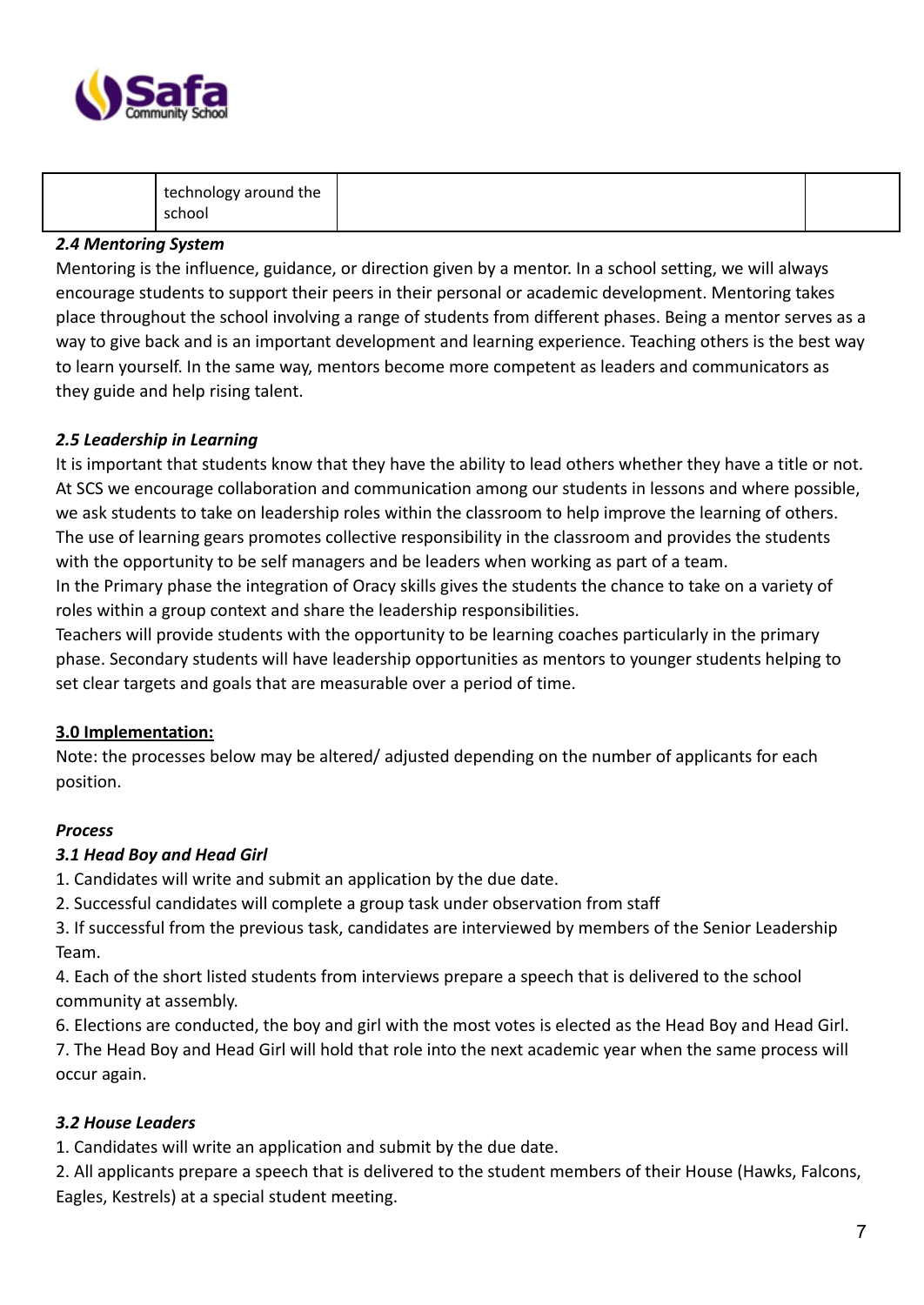

| technology around the<br>school |  |  |
|---------------------------------|--|--|
|---------------------------------|--|--|

# *2.4 Mentoring System*

Mentoring is the influence, guidance, or direction given by a mentor. In a school setting, we will always encourage students to support their peers in their personal or academic development. Mentoring takes place throughout the school involving a range of students from different phases. Being a mentor serves as a way to give back and is an important development and learning experience. Teaching others is the best way to learn yourself. In the same way, mentors become more competent as leaders and communicators as they guide and help rising talent.

## *2.5 Leadership in Learning*

It is important that students know that they have the ability to lead others whether they have a title or not. At SCS we encourage collaboration and communication among our students in lessons and where possible, we ask students to take on leadership roles within the classroom to help improve the learning of others. The use of learning gears promotes collective responsibility in the classroom and provides the students with the opportunity to be self managers and be leaders when working as part of a team.

In the Primary phase the integration of Oracy skills gives the students the chance to take on a variety of roles within a group context and share the leadership responsibilities.

Teachers will provide students with the opportunity to be learning coaches particularly in the primary phase. Secondary students will have leadership opportunities as mentors to younger students helping to set clear targets and goals that are measurable over a period of time.

## **3.0 Implementation:**

Note: the processes below may be altered/ adjusted depending on the number of applicants for each position.

## *Process*

## *3.1 Head Boy and Head Girl*

1. Candidates will write and submit an application by the due date.

2. Successful candidates will complete a group task under observation from staff

3. If successful from the previous task, candidates are interviewed by members of the Senior Leadership Team.

4. Each of the short listed students from interviews prepare a speech that is delivered to the school community at assembly.

6. Elections are conducted, the boy and girl with the most votes is elected as the Head Boy and Head Girl. 7. The Head Boy and Head Girl will hold that role into the next academic year when the same process will occur again.

# *3.2 House Leaders*

1. Candidates will write an application and submit by the due date.

2. All applicants prepare a speech that is delivered to the student members of their House (Hawks, Falcons, Eagles, Kestrels) at a special student meeting.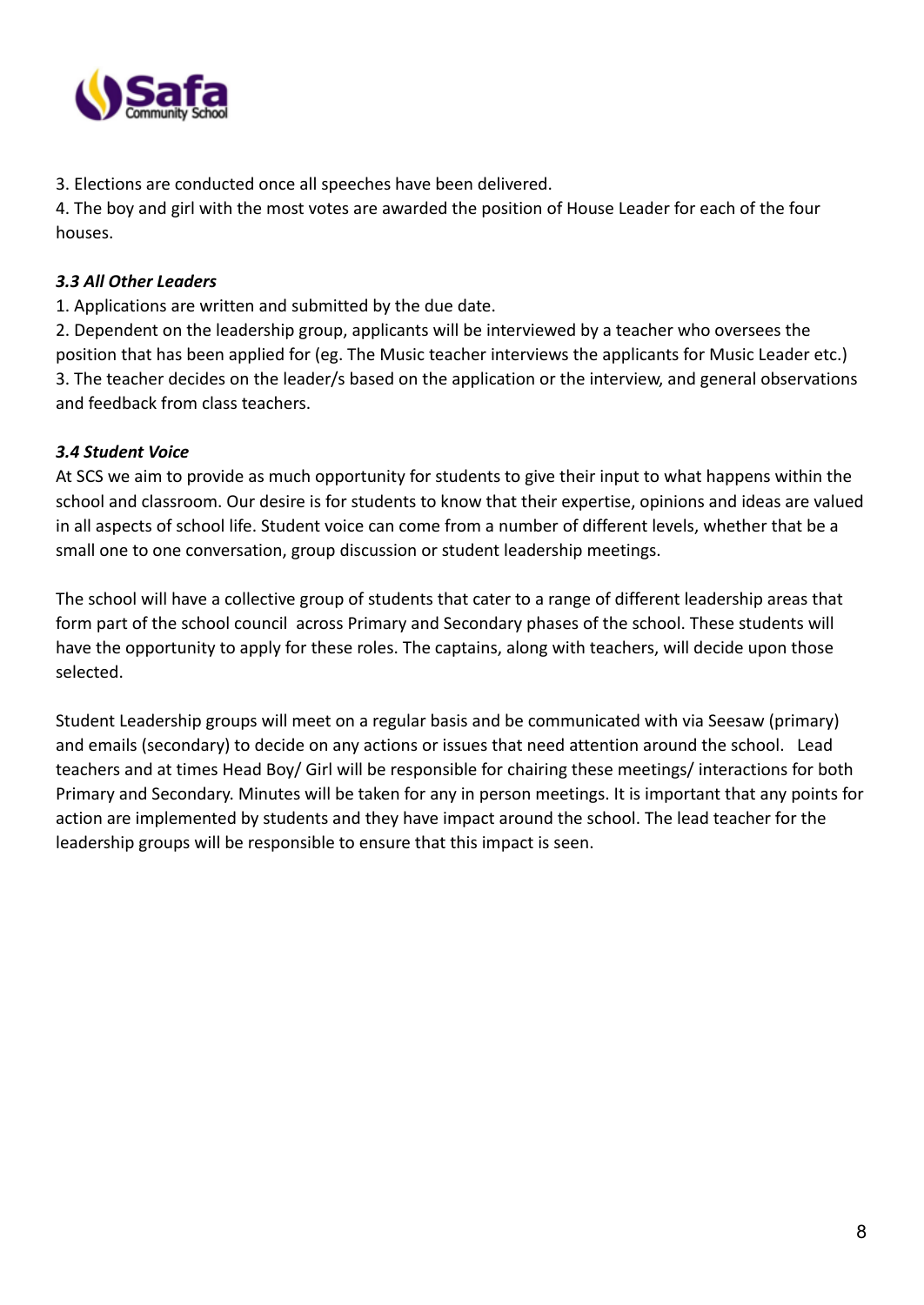

3. Elections are conducted once all speeches have been delivered.

4. The boy and girl with the most votes are awarded the position of House Leader for each of the four houses.

# *3.3 All Other Leaders*

1. Applications are written and submitted by the due date.

2. Dependent on the leadership group, applicants will be interviewed by a teacher who oversees the position that has been applied for (eg. The Music teacher interviews the applicants for Music Leader etc.) 3. The teacher decides on the leader/s based on the application or the interview, and general observations and feedback from class teachers.

# *3.4 Student Voice*

At SCS we aim to provide as much opportunity for students to give their input to what happens within the school and classroom. Our desire is for students to know that their expertise, opinions and ideas are valued in all aspects of school life. Student voice can come from a number of different levels, whether that be a small one to one conversation, group discussion or student leadership meetings.

The school will have a collective group of students that cater to a range of different leadership areas that form part of the school council across Primary and Secondary phases of the school. These students will have the opportunity to apply for these roles. The captains, along with teachers, will decide upon those selected.

Student Leadership groups will meet on a regular basis and be communicated with via Seesaw (primary) and emails (secondary) to decide on any actions or issues that need attention around the school. Lead teachers and at times Head Boy/ Girl will be responsible for chairing these meetings/ interactions for both Primary and Secondary. Minutes will be taken for any in person meetings. It is important that any points for action are implemented by students and they have impact around the school. The lead teacher for the leadership groups will be responsible to ensure that this impact is seen.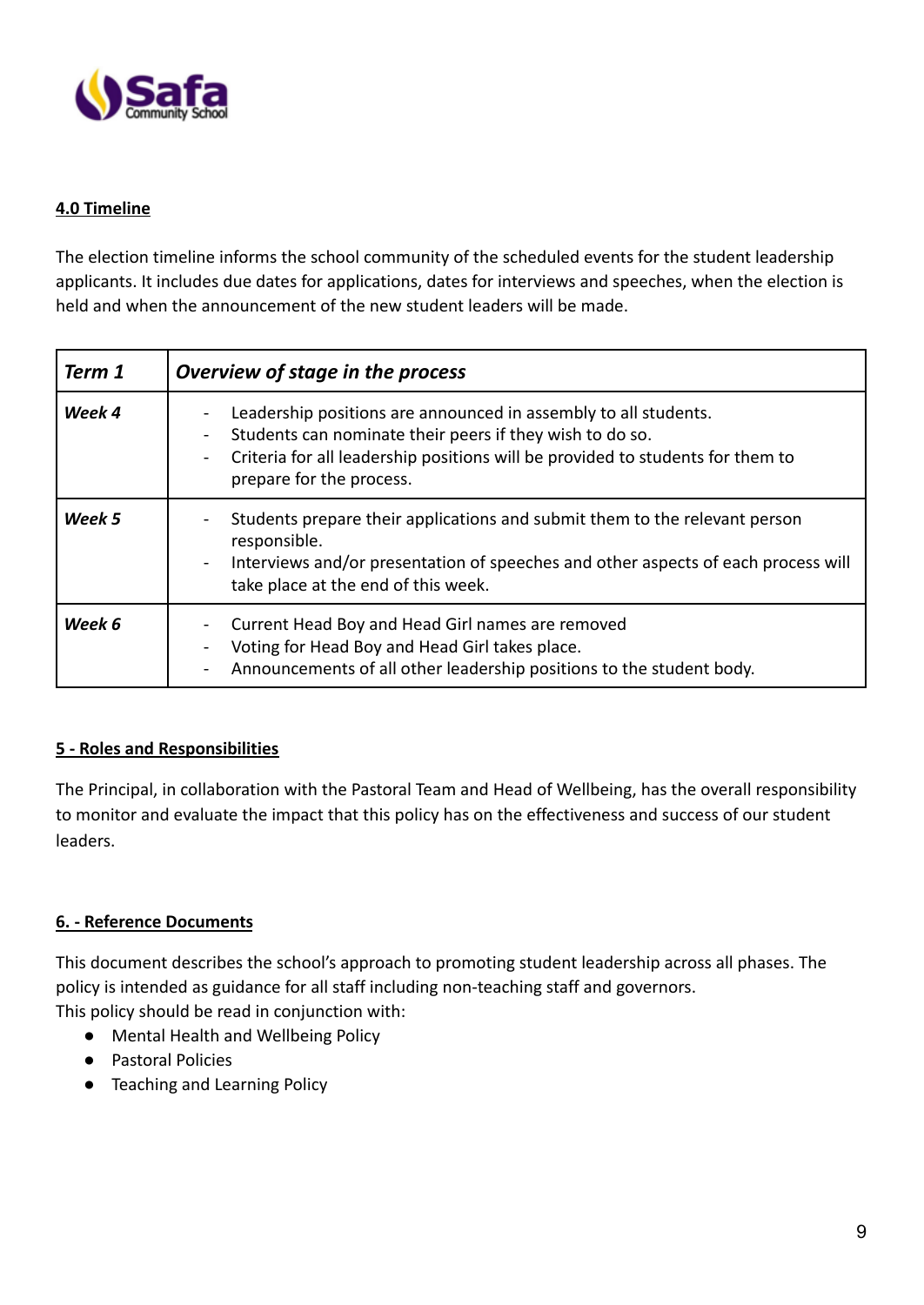

## **4.0 Timeline**

The election timeline informs the school community of the scheduled events for the student leadership applicants. It includes due dates for applications, dates for interviews and speeches, when the election is held and when the announcement of the new student leaders will be made.

| Term 1 | Overview of stage in the process                                                                                                                                                                                                          |
|--------|-------------------------------------------------------------------------------------------------------------------------------------------------------------------------------------------------------------------------------------------|
| Week 4 | Leadership positions are announced in assembly to all students.<br>Students can nominate their peers if they wish to do so.<br>Criteria for all leadership positions will be provided to students for them to<br>prepare for the process. |
| Week 5 | Students prepare their applications and submit them to the relevant person<br>responsible.<br>Interviews and/or presentation of speeches and other aspects of each process will<br>take place at the end of this week.                    |
| Week 6 | Current Head Boy and Head Girl names are removed<br>Voting for Head Boy and Head Girl takes place.<br>Announcements of all other leadership positions to the student body.                                                                |

## **5 - Roles and Responsibilities**

The Principal, in collaboration with the Pastoral Team and Head of Wellbeing, has the overall responsibility to monitor and evaluate the impact that this policy has on the effectiveness and success of our student leaders.

## **6. - Reference Documents**

This document describes the school's approach to promoting student leadership across all phases. The policy is intended as guidance for all staff including non-teaching staff and governors. This policy should be read in conjunction with:

- Mental Health and Wellbeing Policy
- Pastoral Policies
- Teaching and Learning Policy